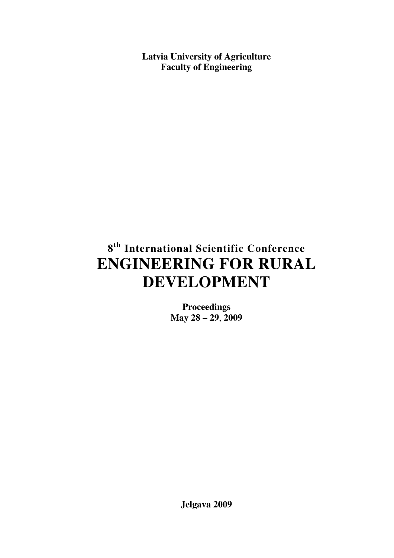**Latvia University of Agriculture Faculty of Engineering** 

# **8 th International Scientific Conference ENGINEERING FOR RURAL DEVELOPMENT**

**Proceedings May 28 – 29**, **2009** 

**Jelgava 2009**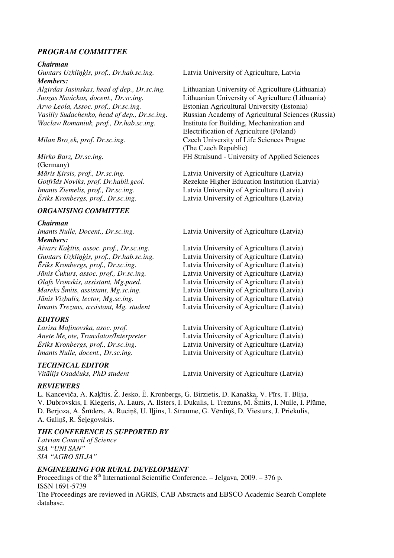## *PROGRAM COMMITTEE*

#### *Chairman*

*Guntars Uzkli*ņģ*is, prof., Dr.hab.sc.ing.* Latvia University of Agriculture, Latvia *Members:* 

*Arvo Leola, Assoc. prof., Dr.sc.ing.* Estonian Agricultural University (Estonia) *Waclaw Romaniuk, prof., Dr.hab.sc.ing*.Institute for Building, Mechanization and

(Germany)

### *ORGANISING COMMITTEE*

#### *Chairman*

*Members:* 

#### *EDITORS*

#### *TECHNICAL EDITOR*

*Algirdas Jasinskas, head of dep., Dr.sc.ing.* Lithuanian University of Agriculture (Lithuania) *Juozas Navickas, docent., Dr.sc.ing.* Lithuanian University of Agriculture (Lithuania) *Vasiliy Sudachenko, head of dep., Dr.sc.ing*. Russian Academy of Agricultural Sciences (Russia) Electrification of Agriculture (Poland) *Milan Bro*<sub>c</sub>ek, prof. Dr.sc.ing. **Czech University of Life Sciences Prague** (The Czech Republic) *Mirko Barz, Dr.sc.ing.* FH Stralsund - University of Applied Sciences

*M*ā*ris* Ķ*irsis, prof., Dr.sc.ing.* Latvia University of Agriculture (Latvia) *Gotfr*ī*ds Noviks, prof. Dr.habil.geol.* Rezekne Higher Education Institution (Latvia) *Imants Ziemelis, prof., Dr.sc.ing.* Latvia University of Agriculture (Latvia) Ē*riks Kronbergs, prof., Dr.sc.ing.* Latvia University of Agriculture (Latvia)

*Imants Nulle, Docent., Dr.sc.ing.* Latvia University of Agriculture (Latvia)

*Aivars Ka*ķī*tis, assoc. prof., Dr.sc.ing.* Latvia University of Agriculture (Latvia) *Guntars Uzkli*ņģ*is, prof., Dr.hab.sc.ing.* Latvia University of Agriculture (Latvia) Ē*riks Kronbergs, prof., Dr.sc.ing.* Latvia University of Agriculture (Latvia) Latvia University of Agriculture (Latvia) *Olafs Vronskis, assistant, Mg.paed.* Latvia University of Agriculture (Latvia) *Mareks Šmits, assistant, Mg.sc.ing.* Latvia University of Agriculture (Latvia) *J*ā*nis Vizbulis, lector, Mg.sc.ing.* Latvia University of Agriculture (Latvia) *Imants Trezuns, assistant, Mg. student* Latvia University of Agriculture (Latvia)

*Larisa Ma*ļ*inovska, asoc. prof.* Latvia University of Agriculture (Latvia) *Anete Me˛ote, Translator/Interpreter* Latvia University of Agriculture (Latvia) Ē*riks Kronbergs, prof., Dr.sc.ing.* Latvia University of Agriculture (Latvia) *Imants Nulle, docent., Dr.sc.ing.* Latvia University of Agriculture (Latvia)

*Vit*ā*lijs Osad*č*uks, PhD student* Latvia University of Agriculture (Latvia)

#### *REVIEWERS*

L. Kanceviča, A. Kaķītis, Ž. Jesko, Ē. Kronbergs, G. Birzietis, D. Kanaška, V. Pīrs, T. Blija, V. Dubrovskis, I. Klegeris, A. Laurs, A. Ilsters, I. Dukulis, I. Trezuns, M. Šmits, I. Nulle, I. Plūme, D. Berjoza, A. Šnīders, A. Ruciņš, U. Iļjins, I. Straume, G. Vērdiņš, D. Viesturs, J. Priekulis, A. Galiņš, R. Šeļegovskis.

#### *THE CONFERENCE IS SUPPORTED BY*

*Latvian Council of Science SIA "UNI SAN" SIA "AGRO SILJA"* 

#### *ENGINEERING FOR RURAL DEVELOPMENT*

Proceedings of the  $8<sup>th</sup>$  International Scientific Conference. – Jelgava, 2009. – 376 p. ISSN 1691-5739

The Proceedings are reviewed in AGRIS, CAB Abstracts and EBSCO Academic Search Complete database.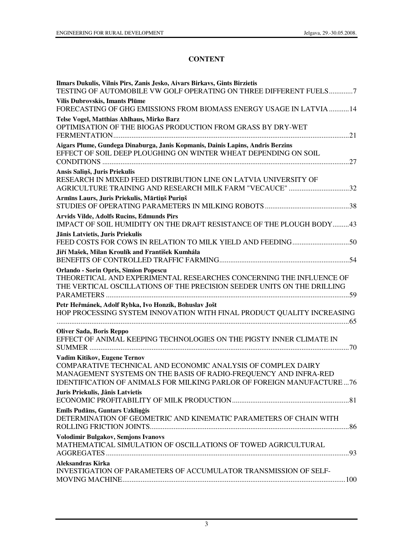## **CONTENT**

| Ilmars Dukulis, Vilnis Pirs, Zanis Jesko, Aivars Birkavs, Gints Birzietis<br>TESTING OF AUTOMOBILE VW GOLF OPERATING ON THREE DIFFERENT FUELS7                                                                                                   |
|--------------------------------------------------------------------------------------------------------------------------------------------------------------------------------------------------------------------------------------------------|
| Vilis Dubrovskis, Imants Plūme<br>FORECASTING OF GHG EMISSIONS FROM BIOMASS ENERGY USAGE IN LATVIA  14                                                                                                                                           |
| Telse Vogel, Matthias Ahlhaus, Mirko Barz<br>OPTIMISATION OF THE BIOGAS PRODUCTION FROM GRASS BY DRY-WET                                                                                                                                         |
| Aigars Plume, Gundega Dinaburga, Janis Kopmanis, Dainis Lapins, Andris Berzins<br>EFFECT OF SOIL DEEP PLOUGHING ON WINTER WHEAT DEPENDING ON SOIL                                                                                                |
| Ansis Saliņš, Juris Priekulis<br>RESEARCH IN MIXED FEED DISTRIBUTION LINE ON LATVIA UNIVERSITY OF<br>AGRICULTURE TRAINING AND RESEARCH MILK FARM "VECAUCE" 32                                                                                    |
| Armīns Laurs, Juris Priekulis, Mārtiņš Puriņš                                                                                                                                                                                                    |
| <b>Arvids Vilde, Adolfs Rucins, Edmunds Pirs</b><br>IMPACT OF SOIL HUMIDITY ON THE DRAFT RESISTANCE OF THE PLOUGH BODY43                                                                                                                         |
| Jānis Latvietis, Juris Priekulis                                                                                                                                                                                                                 |
| Jiří Mašek, Milan Kroulík and František Kumhála                                                                                                                                                                                                  |
| <b>Orlando - Sorin Opris, Simion Popescu</b><br>THEORETICAL AND EXPERIMENTAL RESEARCHES CONCERNING THE INFLUENCE OF<br>THE VERTICAL OSCILLATIONS OF THE PRECISION SEEDER UNITS ON THE DRILLING                                                   |
| Petr Heřmánek, Adolf Rybka, Ivo Honzík, Bohuslav Jošt<br>HOP PROCESSING SYSTEM INNOVATION WITH FINAL PRODUCT QUALITY INCREASING                                                                                                                  |
| <b>Oliver Sada, Boris Reppo</b><br>EFFECT OF ANIMAL KEEPING TECHNOLOGIES ON THE PIGSTY INNER CLIMATE IN                                                                                                                                          |
| Vadim Kitikov, Eugene Ternov<br>COMPARATIVE TECHNICAL AND ECONOMIC ANALYSIS OF COMPLEX DAIRY<br>MANAGEMENT SYSTEMS ON THE BASIS OF RADIO-FREQUENCY AND INFRA-RED<br><b>IDENTIFICATION OF ANIMALS FOR MILKING PARLOR OF FOREIGN MANUFACTURE76</b> |
| Juris Priekulis, Jânis Latvietis                                                                                                                                                                                                                 |
| Emīls Pudāns, Guntars Uzkliņģis<br>DETERMINATION OF GEOMETRIC AND KINEMATIC PARAMETERS OF CHAIN WITH                                                                                                                                             |
| <b>Volodimir Bulgakov, Semjons Ivanovs</b><br>MATHEMATICAL SIMULATION OF OSCILLATIONS OF TOWED AGRICULTURAL                                                                                                                                      |
| Aleksandras Kirka<br>INVESTIGATION OF PARAMETERS OF ACCUMULATOR TRANSMISSION OF SELF-                                                                                                                                                            |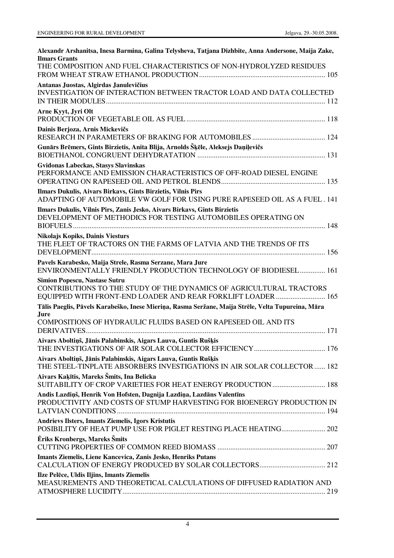| Alexandr Arshanitsa, Inesa Barmina, Galina Telysheva, Tatjana Dizhbite, Anna Andersone, Maija Zake,<br><b>Ilmars Grants</b>                     |
|-------------------------------------------------------------------------------------------------------------------------------------------------|
| THE COMPOSITION AND FUEL CHARACTERISTICS OF NON-HYDROLYZED RESIDUES                                                                             |
| Antanas Juostas, Algirdas Janulevičius<br>INVESTIGATION OF INTERACTION BETWEEN TRACTOR LOAD AND DATA COLLECTED                                  |
| Arne Kyyt, Jyri Olt                                                                                                                             |
| Dainis Berjoza, Arnis Mickevičs                                                                                                                 |
| Gunārs Brēmers, Gints Birzietis, Anita Blija, Arnolds Šķēle, Aleksejs Daņiļevičs                                                                |
| Gvidonas Labeckas, Stasys Slavinskas<br>PERFORMANCE AND EMISSION CHARACTERISTICS OF OFF-ROAD DIESEL ENGINE                                      |
| Ilmars Dukulis, Aivars Birkavs, Gints Birzietis, Vilnis Pirs<br>ADAPTING OF AUTOMOBILE VW GOLF FOR USING PURE RAPESEED OIL AS A FUEL . 141      |
| Ilmars Dukulis, Vilnis Pirs, Zanis Jesko, Aivars Birkavs, Gints Birzietis<br>DEVELOPMENT OF METHODICS FOR TESTING AUTOMOBILES OPERATING ON      |
| <b>Nikolajs Kopiks, Dainis Viesturs</b><br>THE FLEET OF TRACTORS ON THE FARMS OF LATVIA AND THE TRENDS OF ITS                                   |
| Pavels Karabesko, Maija Strele, Rasma Serzane, Mara Jure<br>ENVIRONMENTALLY FRIENDLY PRODUCTION TECHNOLOGY OF BIODIESEL 161                     |
| <b>Simion Popescu, Nastase Sutru</b><br>CONTRIBUTIONS TO THE STUDY OF THE DYNAMICS OF AGRICULTURAL TRACTORS                                     |
| Tālis Paeglis, Pāvels Karabeško, Inese Mieriņa, Rasma Seržane, Maija Strēle, Velta Tupureina, Māra<br>Jure                                      |
| COMPOSITIONS OF HYDRAULIC FLUIDS BASED ON RAPESEED OIL AND ITS                                                                                  |
| Aivars Aboltiņš, Jānis Palabinskis, Aigars Lauva, Guntis Rušķis                                                                                 |
| Aivars Aboltiņš, Jānis Palabinskis, Aigars Lauva, Guntis Rušķis<br>THE STEEL-TINPLATE ABSORBERS INVESTIGATIONS IN AIR SOLAR COLLECTOR  182      |
| Aivars Kaķītis, Mareks Šmits, Ina Belicka                                                                                                       |
| Andis Lazdiņš, Henrik Von Hofsten, Dagnija Lazdiņa, Lazdāns Valentīns<br>PRODUCTIVITY AND COSTS OF STUMP HARVESTING FOR BIOENERGY PRODUCTION IN |
| Andrievs Ilsters, Imants Ziemelis, Igors Kristutis<br>POSIBILITY OF HEAT PUMP USE FOR PIGLET RESTING PLACE HEATING 202                          |
| Ēriks Kronbergs, Mareks Šmits                                                                                                                   |
| Imants Ziemelis, Liene Kancevica, Zanis Jesko, Henriks Putans                                                                                   |
| Ilze Pelēce, Uldis Iljins, Imants Ziemelis<br>MEASUREMENTS AND THEORETICAL CALCULATIONS OF DIFFUSED RADIATION AND                               |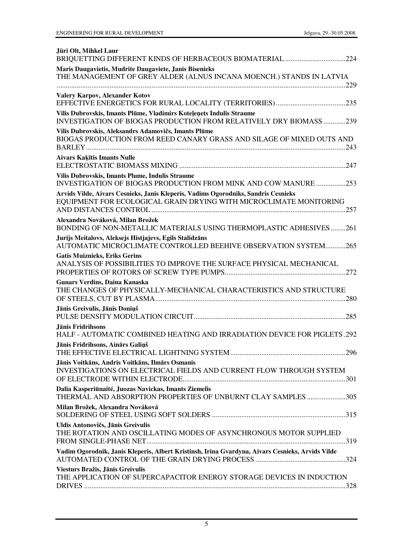| Jüri Olt, Mihkel Laur<br>BRIQUETTING DIFFERENT KINDS OF HERBACEOUS BIOMATERIAL 224                                                                       |
|----------------------------------------------------------------------------------------------------------------------------------------------------------|
| Maris Daugavietis, Mudrite Daugaviete, Janis Bisenieks<br>THE MANAGEMENT OF GREY ALDER (ALNUS INCANA MOENCH.) STANDS IN LATVIA                           |
| Valery Karpov, Alexander Kotov                                                                                                                           |
| Vilis Dubrovskis, Imants Plūme, Vladimirs Koteļeņets Indulis Straume<br>INVESTIGATION OF BIOGAS PRODUCTION FROM RELATIVELY DRY BIOMASS 239               |
| Vilis Dubrovskis, Aleksandrs Adamovičs, Imants Plūme<br>BIOGAS PRODUCTION FROM REED CANARY GRASS AND SILAGE OF MIXED OUTS AND                            |
| <b>Aivars Kakītis Imants Nulle</b>                                                                                                                       |
| Vilis Dubrovskis, Imants Plume, Indulis Straume<br>INVESTIGATION OF BIOGAS PRODUCTION FROM MINK AND COW MANURE 253                                       |
| Arvids Vilde, Aivars Cesnieks, Janis Kleperis, Vadims Ogorodniks, Sandris Cesnieks<br>EQUIPMENT FOR ECOLOGICAL GRAIN DRYING WITH MICROCLIMATE MONITORING |
| Alexandra Nováková, Milan Brožek<br>BONDING OF NON-METALLIC MATERIALS USING THERMOPLASTIC ADHESIVES261                                                   |
| Jurijs Meitalovs, Aleksejs Histjajevs, Egils Stalidzāns<br>AUTOMATIC MICROCLIMATE CONTROLLED BEEHIVE OBSERVATION SYSTEM265                               |
| <b>Gatis Muiznieks, Eriks Gerins</b><br>ANALYSIS OF POSSIBILITIES TO IMPROVE THE SURFACE PHYSICAL MECHANICAL                                             |
| <b>Gunars Verdins, Daina Kanaska</b><br>THE CHANGES OF PHYSICALLY-MECHANICAL CHARACTERISTICS AND STRUCTURE                                               |
| Jānis Greivulis, Jānis Doniņš                                                                                                                            |
| Jānis Fridrihsons<br>HALF - AUTOMATIC COMBINED HEATING AND IRRADIATION DEVICE FOR PIGLETS.292                                                            |
| Jānis Fridrihsons, Ainārs Galiņš                                                                                                                         |
| Jānis Voitkāns, Andris Voitkāns, Ilmārs Osmanis<br>INVESTIGATIONS ON ELECTRICAL FIELDS AND CURRENT FLOW THROUGH SYSTEM                                   |
| Dalia Kasperiūnaité, Juozas Navickas, Imants Ziemelis<br>THERMAL AND ABSORPTION PROPERTIES OF UNBURNT CLAY SAMPLES 305                                   |
| Milan Brožek, Alexandra Nováková                                                                                                                         |
| Uldis Antonovičs, Jānis Greivulis<br>THE ROTATION AND OSCILLATING MODES OF ASYNCHRONOUS MOTOR SUPPLIED                                                   |
| Vadim Ogorodnik, Janis Kleperis, Albert Kristinsh, Irina Gvardyna, Aivars Cesnieks, Arvids Vilde                                                         |
| Viesturs Bražis, Jānis Greivulis<br>THE APPLICATION OF SUPERCAPACITOR ENERGY STORAGE DEVICES IN INDUCTION                                                |